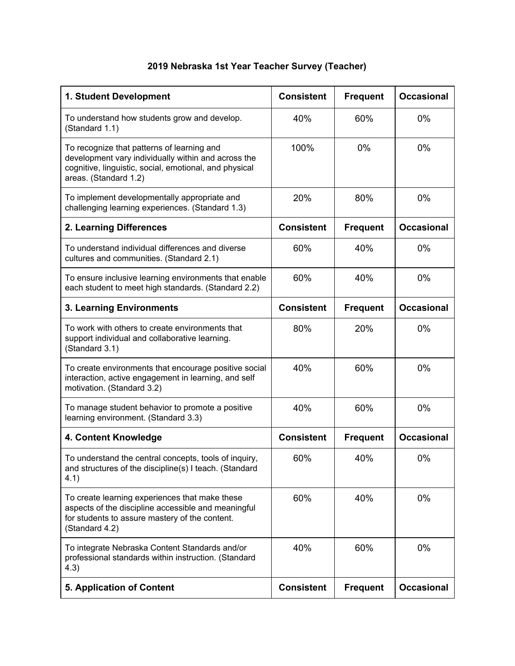## **2019 Nebraska 1st Year Teacher Survey (Teacher)**

| 1. Student Development                                                                                                                                                               | <b>Consistent</b> | <b>Frequent</b> | <b>Occasional</b> |
|--------------------------------------------------------------------------------------------------------------------------------------------------------------------------------------|-------------------|-----------------|-------------------|
| To understand how students grow and develop.<br>(Standard 1.1)                                                                                                                       | 40%               | 60%             | 0%                |
| To recognize that patterns of learning and<br>development vary individually within and across the<br>cognitive, linguistic, social, emotional, and physical<br>areas. (Standard 1.2) | 100%              | 0%              | $0\%$             |
| To implement developmentally appropriate and<br>challenging learning experiences. (Standard 1.3)                                                                                     | 20%               | 80%             | 0%                |
| 2. Learning Differences                                                                                                                                                              | <b>Consistent</b> | <b>Frequent</b> | <b>Occasional</b> |
| To understand individual differences and diverse<br>cultures and communities. (Standard 2.1)                                                                                         | 60%               | 40%             | 0%                |
| To ensure inclusive learning environments that enable<br>each student to meet high standards. (Standard 2.2)                                                                         | 60%               | 40%             | $0\%$             |
| 3. Learning Environments                                                                                                                                                             | <b>Consistent</b> | <b>Frequent</b> | <b>Occasional</b> |
| To work with others to create environments that<br>support individual and collaborative learning.<br>(Standard 3.1)                                                                  | 80%               | 20%             | $0\%$             |
| To create environments that encourage positive social<br>interaction, active engagement in learning, and self<br>motivation. (Standard 3.2)                                          | 40%               | 60%             | 0%                |
| To manage student behavior to promote a positive<br>learning environment. (Standard 3.3)                                                                                             | 40%               | 60%             | 0%                |
| 4. Content Knowledge                                                                                                                                                                 | <b>Consistent</b> | <b>Frequent</b> | <b>Occasional</b> |
| To understand the central concepts, tools of inquiry,<br>and structures of the discipline(s) I teach. (Standard<br>4.1)                                                              | 60%               | 40%             | $0\%$             |
| To create learning experiences that make these<br>aspects of the discipline accessible and meaningful<br>for students to assure mastery of the content.<br>(Standard 4.2)            | 60%               | 40%             | 0%                |
| To integrate Nebraska Content Standards and/or<br>professional standards within instruction. (Standard<br>4.3)                                                                       | 40%               | 60%             | 0%                |
| <b>5. Application of Content</b>                                                                                                                                                     | <b>Consistent</b> | <b>Frequent</b> | <b>Occasional</b> |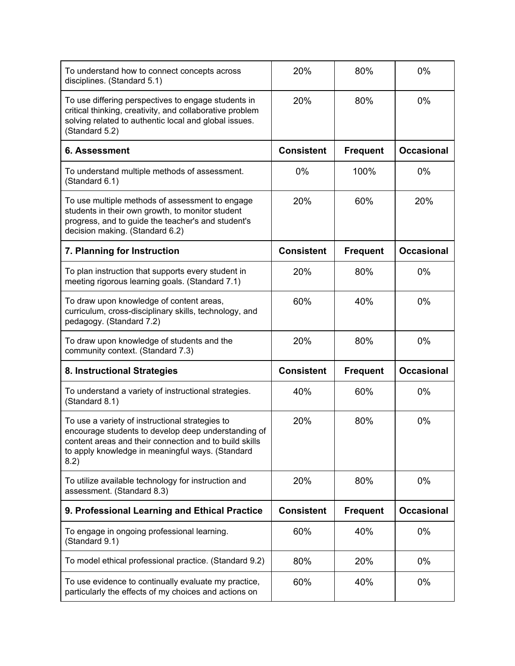| To understand how to connect concepts across<br>disciplines. (Standard 5.1)                                                                                                                                                  | 20%               | 80%             | 0%                |
|------------------------------------------------------------------------------------------------------------------------------------------------------------------------------------------------------------------------------|-------------------|-----------------|-------------------|
| To use differing perspectives to engage students in<br>critical thinking, creativity, and collaborative problem<br>solving related to authentic local and global issues.<br>(Standard 5.2)                                   | 20%               | 80%             | 0%                |
| 6. Assessment                                                                                                                                                                                                                | <b>Consistent</b> | <b>Frequent</b> | <b>Occasional</b> |
| To understand multiple methods of assessment.<br>(Standard 6.1)                                                                                                                                                              | 0%                | 100%            | 0%                |
| To use multiple methods of assessment to engage<br>students in their own growth, to monitor student<br>progress, and to guide the teacher's and student's<br>decision making. (Standard 6.2)                                 | 20%               | 60%             | 20%               |
| 7. Planning for Instruction                                                                                                                                                                                                  | <b>Consistent</b> | <b>Frequent</b> | <b>Occasional</b> |
| To plan instruction that supports every student in<br>meeting rigorous learning goals. (Standard 7.1)                                                                                                                        | 20%               | 80%             | $0\%$             |
| To draw upon knowledge of content areas,<br>curriculum, cross-disciplinary skills, technology, and<br>pedagogy. (Standard 7.2)                                                                                               | 60%               | 40%             | 0%                |
| To draw upon knowledge of students and the<br>community context. (Standard 7.3)                                                                                                                                              | 20%               | 80%             | 0%                |
| 8. Instructional Strategies                                                                                                                                                                                                  | <b>Consistent</b> | <b>Frequent</b> | <b>Occasional</b> |
| To understand a variety of instructional strategies.<br>(Standard 8.1)                                                                                                                                                       | 40%               | 60%             | 0%                |
| To use a variety of instructional strategies to<br>encourage students to develop deep understanding of<br>content areas and their connection and to build skills<br>to apply knowledge in meaningful ways. (Standard<br>8.2) | 20%               | 80%             | 0%                |
| To utilize available technology for instruction and<br>assessment. (Standard 8.3)                                                                                                                                            | 20%               | 80%             | $0\%$             |
| 9. Professional Learning and Ethical Practice                                                                                                                                                                                | <b>Consistent</b> | <b>Frequent</b> | <b>Occasional</b> |
| To engage in ongoing professional learning.<br>(Standard 9.1)                                                                                                                                                                | 60%               | 40%             | $0\%$             |
| To model ethical professional practice. (Standard 9.2)                                                                                                                                                                       | 80%               | 20%             | $0\%$             |
| To use evidence to continually evaluate my practice,<br>particularly the effects of my choices and actions on                                                                                                                | 60%               | 40%             | 0%                |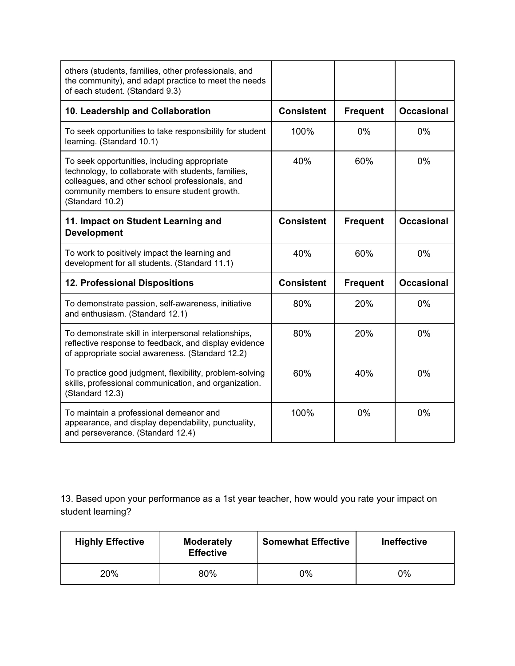| others (students, families, other professionals, and<br>the community), and adapt practice to meet the needs<br>of each student. (Standard 9.3)                                                                          |                   |                 |                   |
|--------------------------------------------------------------------------------------------------------------------------------------------------------------------------------------------------------------------------|-------------------|-----------------|-------------------|
| 10. Leadership and Collaboration                                                                                                                                                                                         | <b>Consistent</b> | <b>Frequent</b> | <b>Occasional</b> |
| To seek opportunities to take responsibility for student<br>learning. (Standard 10.1)                                                                                                                                    | 100%              | 0%              | 0%                |
| To seek opportunities, including appropriate<br>technology, to collaborate with students, families,<br>colleagues, and other school professionals, and<br>community members to ensure student growth.<br>(Standard 10.2) | 40%               | 60%             | 0%                |
| 11. Impact on Student Learning and<br><b>Development</b>                                                                                                                                                                 | <b>Consistent</b> | <b>Frequent</b> | <b>Occasional</b> |
| To work to positively impact the learning and<br>development for all students. (Standard 11.1)                                                                                                                           | 40%               | 60%             | 0%                |
| 12. Professional Dispositions                                                                                                                                                                                            | <b>Consistent</b> | <b>Frequent</b> | <b>Occasional</b> |
| To demonstrate passion, self-awareness, initiative<br>and enthusiasm. (Standard 12.1)                                                                                                                                    | 80%               | 20%             | 0%                |
| To demonstrate skill in interpersonal relationships,<br>reflective response to feedback, and display evidence<br>of appropriate social awareness. (Standard 12.2)                                                        | 80%               | 20%             | 0%                |
| To practice good judgment, flexibility, problem-solving<br>skills, professional communication, and organization.<br>(Standard 12.3)                                                                                      | 60%               | 40%             | 0%                |
| To maintain a professional demeanor and<br>appearance, and display dependability, punctuality,<br>and perseverance. (Standard 12.4)                                                                                      | 100%              | 0%              | 0%                |

13. Based upon your performance as a 1st year teacher, how would you rate your impact on student learning?

| <b>Highly Effective</b> | <b>Moderately</b><br><b>Effective</b> | <b>Somewhat Effective</b> | <b>Ineffective</b> |
|-------------------------|---------------------------------------|---------------------------|--------------------|
| 20%                     | 80%                                   | 0%                        | 0%                 |